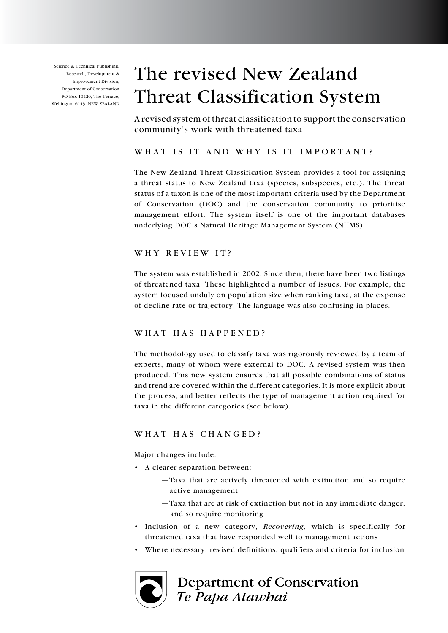Science & Technical Publishing, Research, Development & Improvement Division, Department of Conservation PO Box 10420, The Terrace, Wellington 6143, NEW ZEALAND

# The revised New Zealand Threat Classification System

A revised system of threat classification to support the conservation community's work with threatened taxa

## WHAT IS IT AND WHY IS IT IMPORTANT?

The New Zealand Threat Classification System provides a tool for assigning a threat status to New Zealand taxa (species, subspecies, etc.). The threat status of a taxon is one of the most important criteria used by the Department of Conservation (DOC) and the conservation community to prioritise management effort. The system itself is one of the important databases underlying DOC's Natural Heritage Management System (NHMS).

## WHY REVIEW IT?

The system was established in 2002. Since then, there have been two listings of threatened taxa. These highlighted a number of issues. For example, the system focused unduly on population size when ranking taxa, at the expense of decline rate or trajectory. The language was also confusing in places.

## WHAT HAS HAPPENED?

The methodology used to classify taxa was rigorously reviewed by a team of experts, many of whom were external to DOC. A revised system was then produced. This new system ensures that all possible combinations of status and trend are covered within the different categories. It is more explicit about the process, and better reflects the type of management action required for taxa in the different categories (see below).

## WHAT HAS CHANGED?

Major changes include:

- • A clearer separation between:
	- —Taxa that are actively threatened with extinction and so require active management
	- —Taxa that are at risk of extinction but not in any immediate danger, and so require monitoring
- Inclusion of a new category, *Recovering*, which is specifically for threatened taxa that have responded well to management actions
- • Where necessary, revised definitions, qualifiers and criteria for inclusion



Department of Conservation Te Papa Atawhai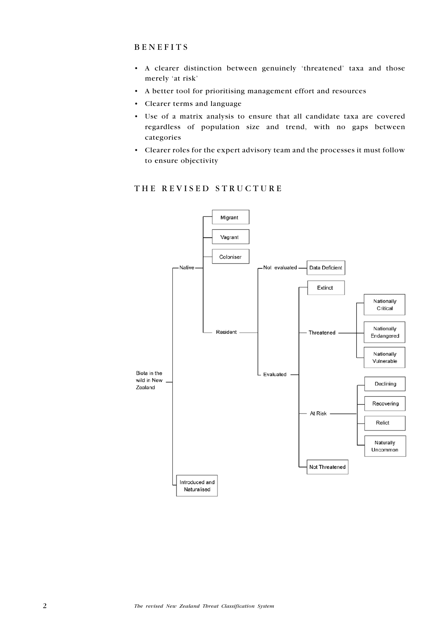#### **BENEFITS**

- • A clearer distinction between genuinely 'threatened' taxa and those merely 'at risk'
- • A better tool for prioritising management effort and resources
- • Clearer terms and language
- • Use of a matrix analysis to ensure that all candidate taxa are covered regardless of population size and trend, with no gaps between categories
- • Clearer roles for the expert advisory team and the processes it must follow to ensure objectivity



#### THE REVISED STRUCTURE